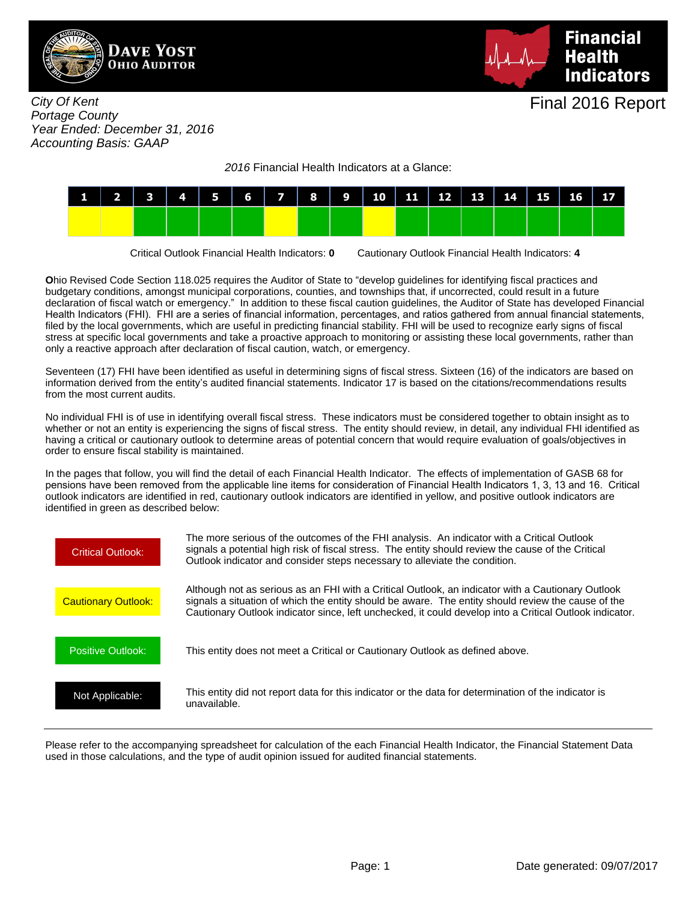



City Of Kent Portage County Year Ended: December 31, 2016 Accounting Basis: GAAP

2016 Financial Health Indicators at a Glance:



Critical Outlook Financial Health Indicators: **0** Cautionary Outlook Financial Health Indicators: **4**

**O**hio Revised Code Section 118.025 requires the Auditor of State to "develop guidelines for identifying fiscal practices and budgetary conditions, amongst municipal corporations, counties, and townships that, if uncorrected, could result in a future declaration of fiscal watch or emergency." In addition to these fiscal caution guidelines, the Auditor of State has developed Financial Health Indicators (FHI). FHI are a series of financial information, percentages, and ratios gathered from annual financial statements, filed by the local governments, which are useful in predicting financial stability. FHI will be used to recognize early signs of fiscal stress at specific local governments and take a proactive approach to monitoring or assisting these local governments, rather than only a reactive approach after declaration of fiscal caution, watch, or emergency.

Seventeen (17) FHI have been identified as useful in determining signs of fiscal stress. Sixteen (16) of the indicators are based on information derived from the entity's audited financial statements. Indicator 17 is based on the citations/recommendations results from the most current audits.

No individual FHI is of use in identifying overall fiscal stress. These indicators must be considered together to obtain insight as to whether or not an entity is experiencing the signs of fiscal stress. The entity should review, in detail, any individual FHI identified as having a critical or cautionary outlook to determine areas of potential concern that would require evaluation of goals/objectives in order to ensure fiscal stability is maintained.

In the pages that follow, you will find the detail of each Financial Health Indicator. The effects of implementation of GASB 68 for pensions have been removed from the applicable line items for consideration of Financial Health Indicators 1, 3, 13 and 16. Critical outlook indicators are identified in red, cautionary outlook indicators are identified in yellow, and positive outlook indicators are identified in green as described below:



Please refer to the accompanying spreadsheet for calculation of the each Financial Health Indicator, the Financial Statement Data used in those calculations, and the type of audit opinion issued for audited financial statements.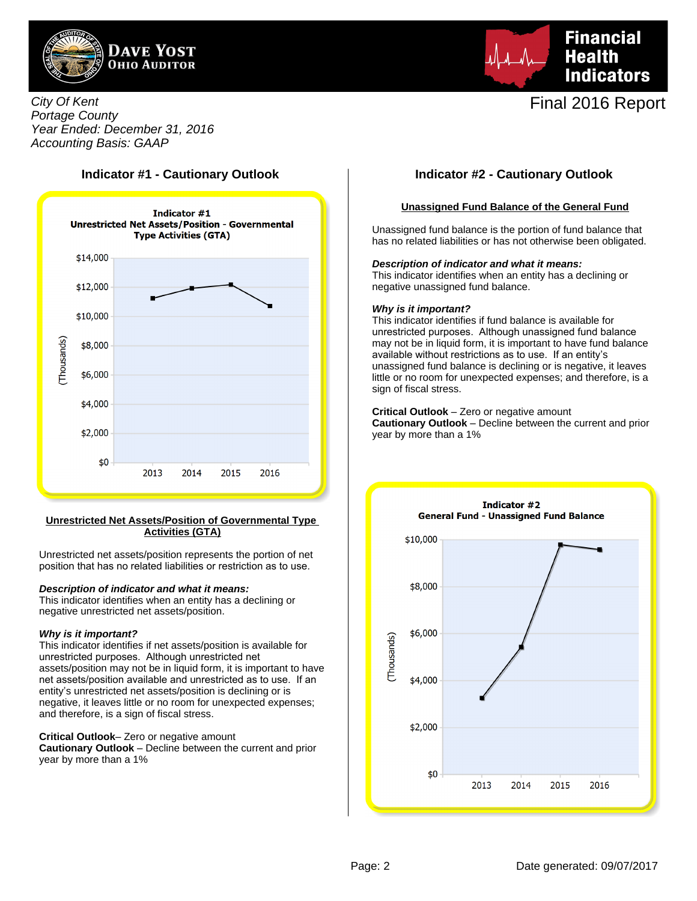



## City Of Kent Portage County Year Ended: December 31, 2016 Accounting Basis: GAAP



### **Unrestricted Net Assets/Position of Governmental Type Activities (GTA)**

Unrestricted net assets/position represents the portion of net position that has no related liabilities or restriction as to use.

### **Description of indicator and what it means:**

This indicator identifies when an entity has a declining or negative unrestricted net assets/position.

#### **Why is it important?**

This indicator identifies if net assets/position is available for unrestricted purposes. Although unrestricted net assets/position may not be in liquid form, it is important to have net assets/position available and unrestricted as to use. If an entity's unrestricted net assets/position is declining or is negative, it leaves little or no room for unexpected expenses; and therefore, is a sign of fiscal stress.

**Critical Outlook**– Zero or negative amount

**Cautionary Outlook** – Decline between the current and prior year by more than a 1%

# **Indicator #1 - Cautionary Outlook Indicator #2 - Cautionary Outlook**

### **Unassigned Fund Balance of the General Fund**

Unassigned fund balance is the portion of fund balance that has no related liabilities or has not otherwise been obligated.

**Description of indicator and what it means:**

This indicator identifies when an entity has a declining or negative unassigned fund balance.

#### **Why is it important?**

year by more than a 1%

This indicator identifies if fund balance is available for unrestricted purposes. Although unassigned fund balance may not be in liquid form, it is important to have fund balance available without restrictions as to use. If an entity's unassigned fund balance is declining or is negative, it leaves little or no room for unexpected expenses; and therefore, is a sign of fiscal stress.

**Critical Outlook** – Zero or negative amount **Cautionary Outlook** – Decline between the current and prior

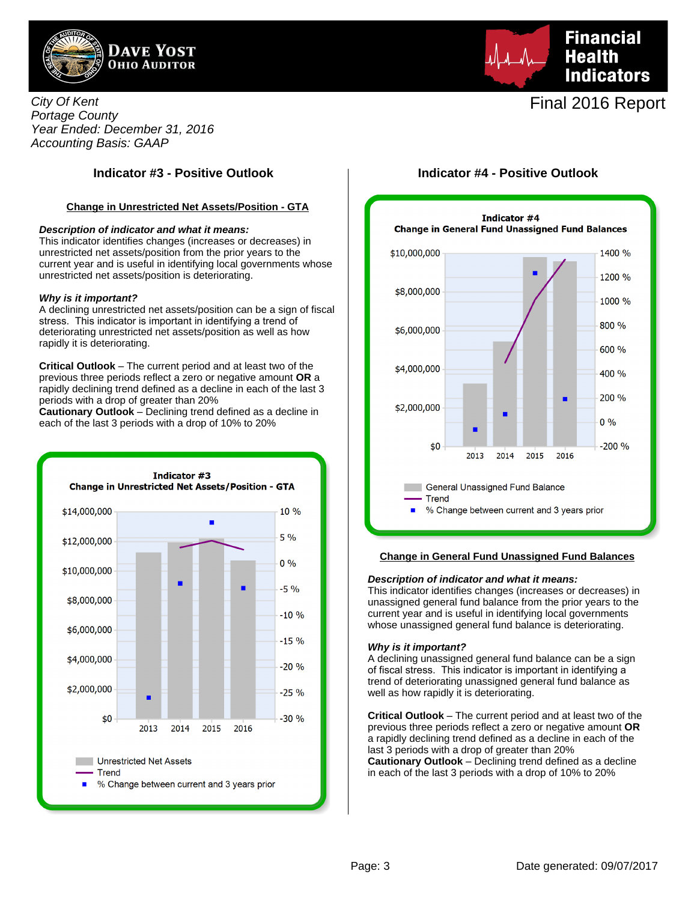

City Of Kent Portage County Year Ended: December 31, 2016 Accounting Basis: GAAP

# **Indicator #3 - Positive Outlook Indicator #4 - Positive Outlook**

### **Change in Unrestricted Net Assets/Position - GTA**

#### **Description of indicator and what it means:**

This indicator identifies changes (increases or decreases) in unrestricted net assets/position from the prior years to the current year and is useful in identifying local governments whose unrestricted net assets/position is deteriorating.

#### **Why is it important?**

A declining unrestricted net assets/position can be a sign of fiscal stress. This indicator is important in identifying a trend of deteriorating unrestricted net assets/position as well as how rapidly it is deteriorating.

**Critical Outlook** – The current period and at least two of the previous three periods reflect a zero or negative amount **OR** a rapidly declining trend defined as a decline in each of the last 3 periods with a drop of greater than 20%

**Cautionary Outlook** – Declining trend defined as a decline in each of the last 3 periods with a drop of 10% to 20%



Final 2016 Report

**Financial** 

**Indicators** 

**Health** 



#### **Change in General Fund Unassigned Fund Balances**

#### **Description of indicator and what it means:**

This indicator identifies changes (increases or decreases) in unassigned general fund balance from the prior years to the current year and is useful in identifying local governments whose unassigned general fund balance is deteriorating.

#### **Why is it important?**

A declining unassigned general fund balance can be a sign of fiscal stress. This indicator is important in identifying a trend of deteriorating unassigned general fund balance as well as how rapidly it is deteriorating.

**Critical Outlook** – The current period and at least two of the previous three periods reflect a zero or negative amount **OR** a rapidly declining trend defined as a decline in each of the last 3 periods with a drop of greater than 20% **Cautionary Outlook** – Declining trend defined as a decline in each of the last 3 periods with a drop of 10% to 20%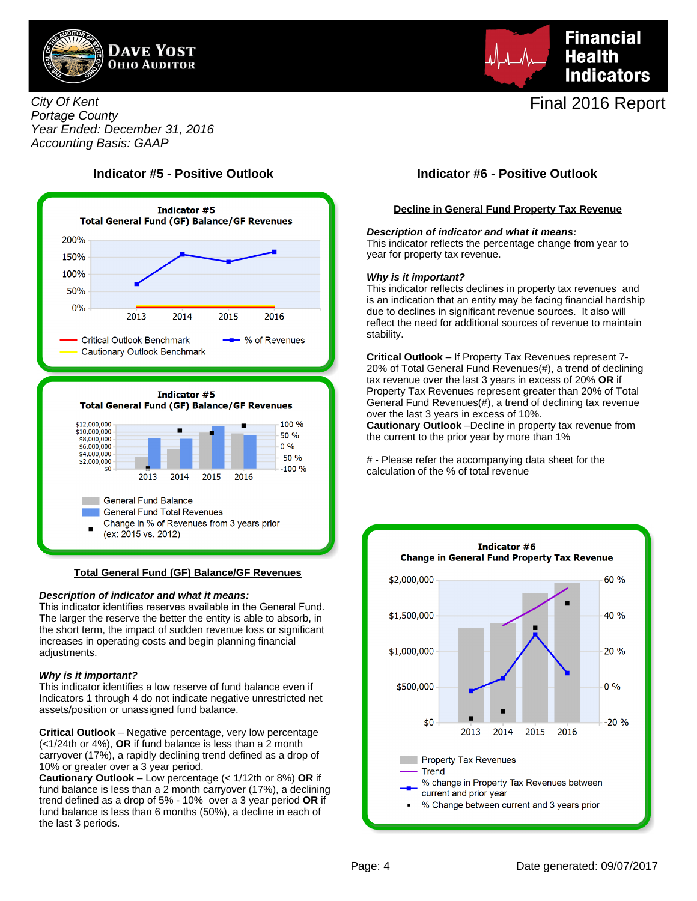



City Of Kent Portage County Year Ended: December 31, 2016 Accounting Basis: GAAP

# **Indicator #5 - Positive Outlook Indicator #6 - Positive Outlook**



#### **Total General Fund (GF) Balance/GF Revenues**

#### **Description of indicator and what it means:**

This indicator identifies reserves available in the General Fund. The larger the reserve the better the entity is able to absorb, in the short term, the impact of sudden revenue loss or significant increases in operating costs and begin planning financial adjustments.

#### **Why is it important?**

This indicator identifies a low reserve of fund balance even if Indicators 1 through 4 do not indicate negative unrestricted net assets/position or unassigned fund balance.

**Critical Outlook** – Negative percentage, very low percentage (<1/24th or 4%), **OR** if fund balance is less than a 2 month carryover (17%), a rapidly declining trend defined as a drop of 10% or greater over a 3 year period.

**Cautionary Outlook** – Low percentage (< 1/12th or 8%) **OR** if fund balance is less than a 2 month carryover (17%), a declining trend defined as a drop of 5% - 10% over a 3 year period **OR** if fund balance is less than 6 months (50%), a decline in each of the last 3 periods.

#### **Decline in General Fund Property Tax Revenue**

#### **Description of indicator and what it means:**

This indicator reflects the percentage change from year to year for property tax revenue.

#### **Why is it important?**

This indicator reflects declines in property tax revenues and is an indication that an entity may be facing financial hardship due to declines in significant revenue sources. It also will reflect the need for additional sources of revenue to maintain stability.

**Critical Outlook** – If Property Tax Revenues represent 7- 20% of Total General Fund Revenues(#), a trend of declining tax revenue over the last 3 years in excess of 20% **OR** if Property Tax Revenues represent greater than 20% of Total General Fund Revenues(#), a trend of declining tax revenue over the last 3 years in excess of 10%.

**Cautionary Outlook** –Decline in property tax revenue from the current to the prior year by more than 1%

# - Please refer the accompanying data sheet for the calculation of the % of total revenue

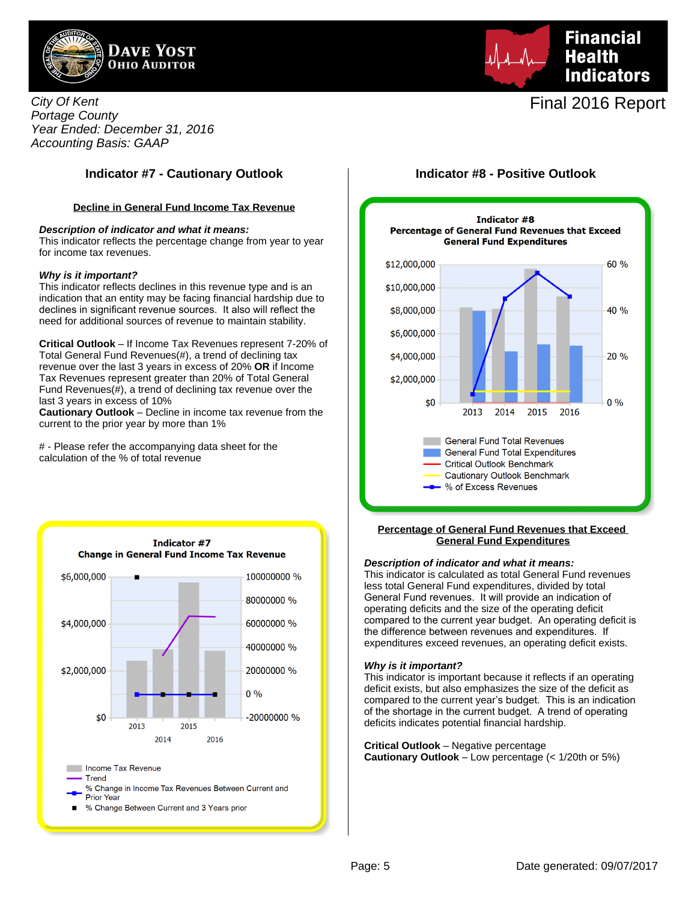



# **Indicator #7 - Cautionary Outlook Indicator #8 - Positive Outlook**

### **Decline in General Fund Income Tax Revenue**

#### **Description of indicator and what it means:**

This indicator reflects the percentage change from year to year for income tax revenues.

#### **Why is it important?**

This indicator reflects declines in this revenue type and is an indication that an entity may be facing financial hardship due to declines in significant revenue sources. It also will reflect the need for additional sources of revenue to maintain stability.

**Critical Outlook** – If Income Tax Revenues represent 7-20% of Total General Fund Revenues(#), a trend of declining tax revenue over the last 3 years in excess of 20% **OR** if Income Tax Revenues represent greater than 20% of Total General Fund Revenues(#), a trend of declining tax revenue over the last 3 years in excess of 10%

**Cautionary Outlook** – Decline in income tax revenue from the current to the prior year by more than 1%

# - Please refer the accompanying data sheet for the calculation of the % of total revenue



# **Financial Health Indicators**

# Final 2016 Report



#### **Percentage of General Fund Revenues that Exceed General Fund Expenditures**

#### **Description of indicator and what it means:**

This indicator is calculated as total General Fund revenues less total General Fund expenditures, divided by total General Fund revenues. It will provide an indication of operating deficits and the size of the operating deficit compared to the current year budget. An operating deficit is the difference between revenues and expenditures. If expenditures exceed revenues, an operating deficit exists.

#### **Why is it important?**

This indicator is important because it reflects if an operating deficit exists, but also emphasizes the size of the deficit as compared to the current year's budget. This is an indication of the shortage in the current budget. A trend of operating deficits indicates potential financial hardship.

**Critical Outlook** – Negative percentage **Cautionary Outlook** – Low percentage (< 1/20th or 5%)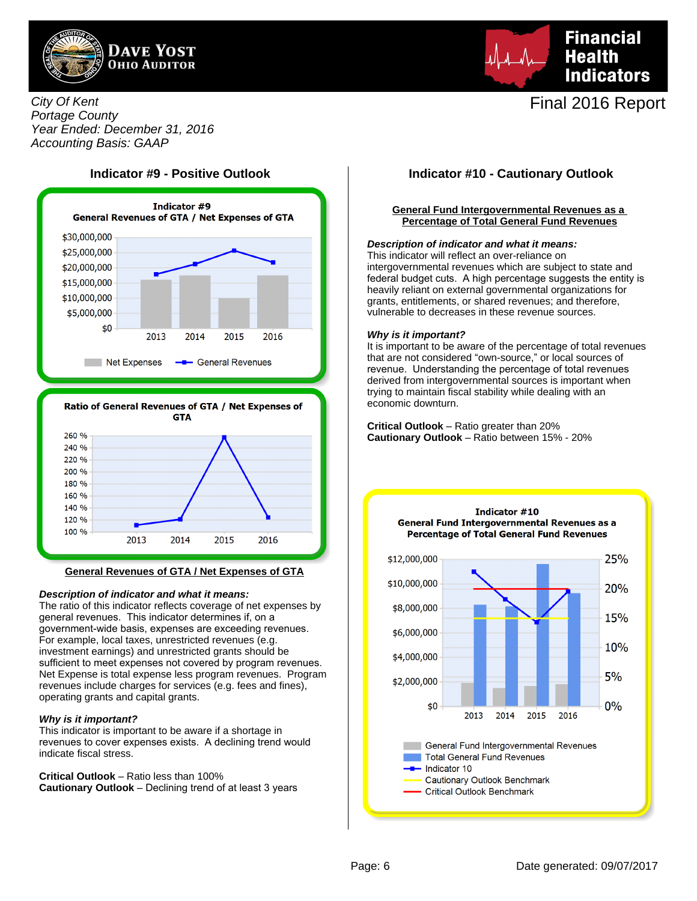



## City Of Kent Portage County Year Ended: December 31, 2016 Accounting Basis: GAAP





#### **General Revenues of GTA / Net Expenses of GTA**

#### **Description of indicator and what it means:**

The ratio of this indicator reflects coverage of net expenses by general revenues. This indicator determines if, on a government-wide basis, expenses are exceeding revenues. For example, local taxes, unrestricted revenues (e.g. investment earnings) and unrestricted grants should be sufficient to meet expenses not covered by program revenues. Net Expense is total expense less program revenues. Program revenues include charges for services (e.g. fees and fines), operating grants and capital grants.

#### **Why is it important?**

This indicator is important to be aware if a shortage in revenues to cover expenses exists. A declining trend would indicate fiscal stress.

**Critical Outlook** – Ratio less than 100% **Cautionary Outlook** – Declining trend of at least 3 years

### **General Fund Intergovernmental Revenues as a Percentage of Total General Fund Revenues**

#### **Description of indicator and what it means:**

This indicator will reflect an over-reliance on intergovernmental revenues which are subject to state and federal budget cuts. A high percentage suggests the entity is heavily reliant on external governmental organizations for grants, entitlements, or shared revenues; and therefore, vulnerable to decreases in these revenue sources.

### **Why is it important?**

It is important to be aware of the percentage of total revenues that are not considered "own-source," or local sources of revenue. Understanding the percentage of total revenues derived from intergovernmental sources is important when trying to maintain fiscal stability while dealing with an economic downturn.

**Critical Outlook** – Ratio greater than 20% **Cautionary Outlook** – Ratio between 15% - 20%

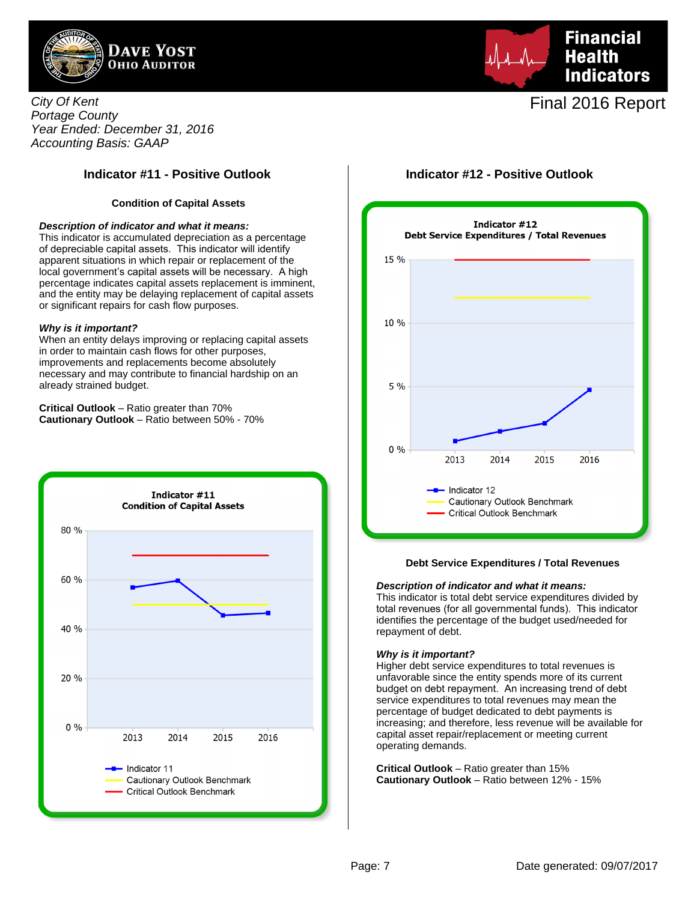



City Of Kent Portage County Year Ended: December 31, 2016 Accounting Basis: GAAP

#### **Condition of Capital Assets**

#### **Description of indicator and what it means:**

This indicator is accumulated depreciation as a percentage of depreciable capital assets. This indicator will identify apparent situations in which repair or replacement of the local government's capital assets will be necessary. A high percentage indicates capital assets replacement is imminent, and the entity may be delaying replacement of capital assets or significant repairs for cash flow purposes.

#### **Why is it important?**

When an entity delays improving or replacing capital assets in order to maintain cash flows for other purposes, improvements and replacements become absolutely necessary and may contribute to financial hardship on an already strained budget.

**Critical Outlook** – Ratio greater than 70% **Cautionary Outlook** – Ratio between 50% - 70%



# **Indicator #11 - Positive Outlook Indicator #12 - Positive Outlook**



#### **Debt Service Expenditures / Total Revenues**

#### **Description of indicator and what it means:**

This indicator is total debt service expenditures divided by total revenues (for all governmental funds). This indicator identifies the percentage of the budget used/needed for repayment of debt.

#### **Why is it important?**

Higher debt service expenditures to total revenues is unfavorable since the entity spends more of its current budget on debt repayment. An increasing trend of debt service expenditures to total revenues may mean the percentage of budget dedicated to debt payments is increasing; and therefore, less revenue will be available for capital asset repair/replacement or meeting current operating demands.

**Critical Outlook** – Ratio greater than 15% **Cautionary Outlook** – Ratio between 12% - 15%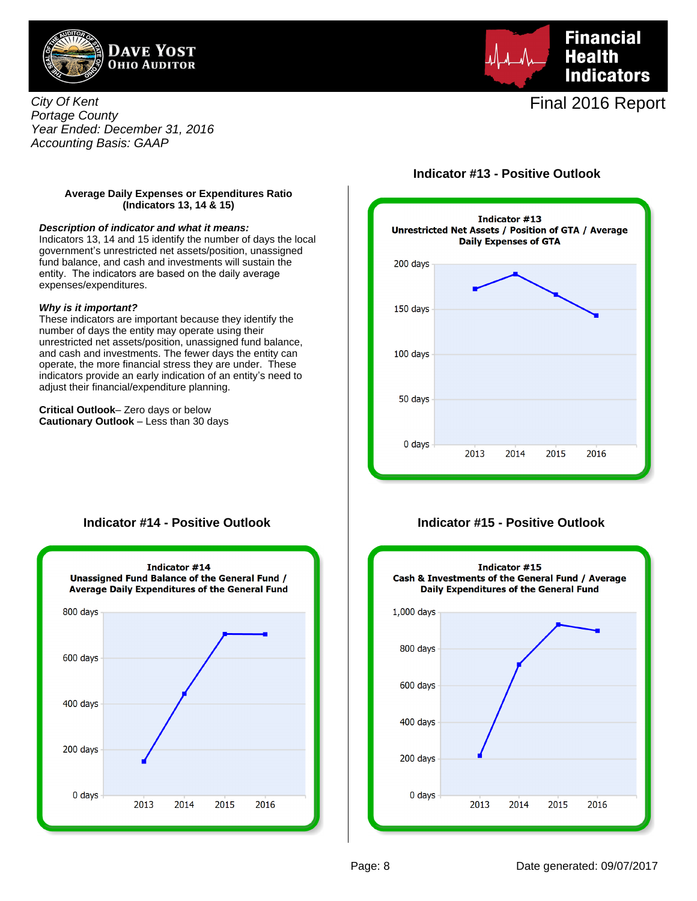

**Financial Health Indicators** 

Final 2016 Report

## City Of Kent Portage County Year Ended: December 31, 2016 Accounting Basis: GAAP

# **Indicator #13 - Positive Outlook**

#### **Average Daily Expenses or Expenditures Ratio (Indicators 13, 14 & 15)**

#### **Description of indicator and what it means:**

Indicators 13, 14 and 15 identify the number of days the local government's unrestricted net assets/position, unassigned fund balance, and cash and investments will sustain the entity. The indicators are based on the daily average expenses/expenditures.

#### **Why is it important?**

These indicators are important because they identify the number of days the entity may operate using their unrestricted net assets/position, unassigned fund balance, and cash and investments. The fewer days the entity can operate, the more financial stress they are under. These indicators provide an early indication of an entity's need to adjust their financial/expenditure planning.

**Critical Outlook**– Zero days or below **Cautionary Outlook** – Less than 30 days



## **Indicator #14 - Positive Outlook**



## **Indicator #15 - Positive Outlook**

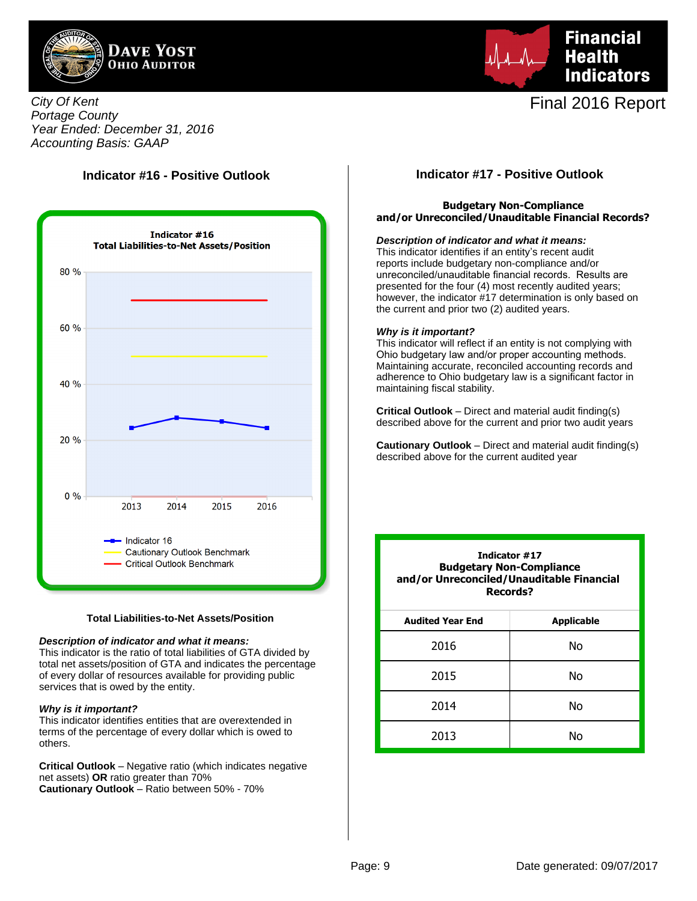



City Of Kent Portage County Year Ended: December 31, 2016 Accounting Basis: GAAP

# **Indicator #16 - Positive Outlook**



#### **Total Liabilities-to-Net Assets/Position**

#### **Description of indicator and what it means:**

This indicator is the ratio of total liabilities of GTA divided by total net assets/position of GTA and indicates the percentage of every dollar of resources available for providing public services that is owed by the entity.

#### **Why is it important?**

This indicator identifies entities that are overextended in terms of the percentage of every dollar which is owed to others.

**Critical Outlook** – Negative ratio (which indicates negative net assets) **OR** ratio greater than 70% **Cautionary Outlook** – Ratio between 50% - 70%

# **Indicator #17 - Positive Outlook**

### **Budgetary Non-Compliance and/or Unreconciled/Unauditable Financial Records?**

#### **Description of indicator and what it means:**

This indicator identifies if an entity's recent audit reports include budgetary non-compliance and/or unreconciled/unauditable financial records. Results are presented for the four (4) most recently audited years; however, the indicator #17 determination is only based on the current and prior two (2) audited years.

#### **Why is it important?**

This indicator will reflect if an entity is not complying with Ohio budgetary law and/or proper accounting methods. Maintaining accurate, reconciled accounting records and adherence to Ohio budgetary law is a significant factor in maintaining fiscal stability.

**Critical Outlook** – Direct and material audit finding(s) described above for the current and prior two audit years

**Cautionary Outlook** – Direct and material audit finding(s) described above for the current audited year

| Indicator #17<br><b>Budgetary Non-Compliance</b><br>and/or Unreconciled/Unauditable Financial<br>Records? |                   |  |  |  |  |  |  |
|-----------------------------------------------------------------------------------------------------------|-------------------|--|--|--|--|--|--|
| <b>Audited Year End</b>                                                                                   | <b>Applicable</b> |  |  |  |  |  |  |
| 2016                                                                                                      | No                |  |  |  |  |  |  |
| 2015                                                                                                      | No                |  |  |  |  |  |  |
| 2014                                                                                                      | Nο                |  |  |  |  |  |  |
| 2013                                                                                                      | N٥                |  |  |  |  |  |  |